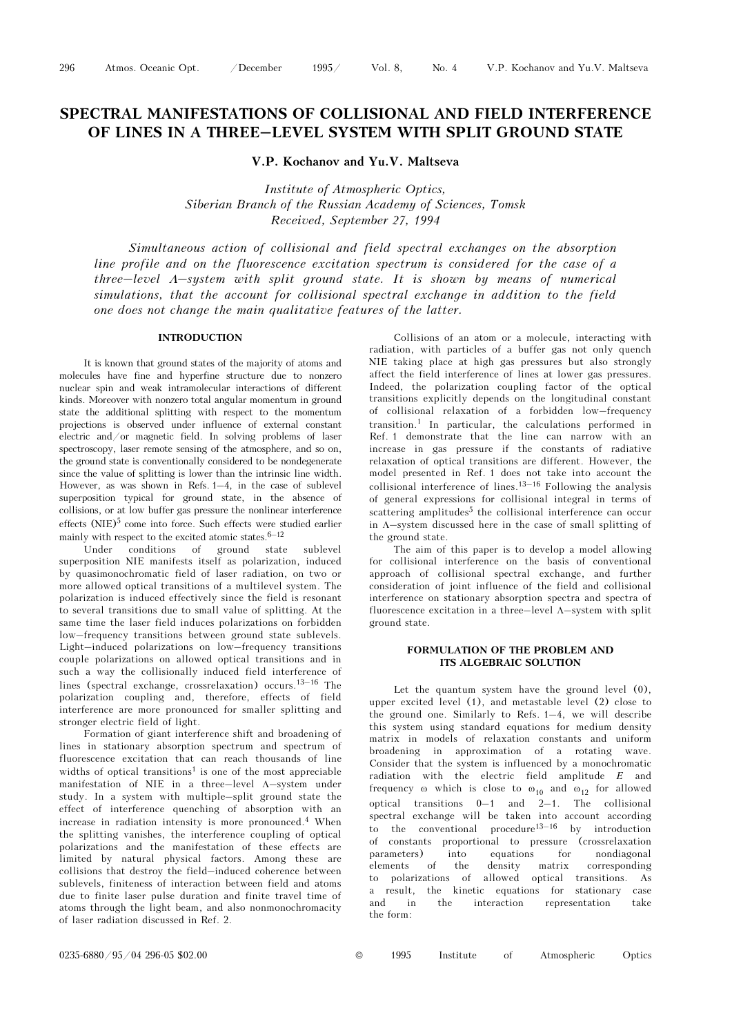# SPECTRAL MANIFESTATIONS OF COLLISIONAL AND FIELD INTERFERENCE CTRAL MANIFESTATIONS OF COLLISIONAL AND FIELD INTERFEREN<br>OF LINES IN A THREE–LEVEL SYSTEM WITH SPLIT GROUND STATE

V.P. Kochanov and Yu.V. Maltseva

Institute of Atmospheric Optics, Siberian Branch of the Russian Academy of Sciences, Tomsk Received, September 27, 1994

Simultaneous action of collisional and field spectral exchanges on the absorption line profile and on the fluorescence excitation spectrum is considered for the case of a three–level Λ–system with split ground state. It is shown by means of numerical simulations, that the account for collisional spectral exchange in addition to the field one does not change the main qualitative features of the latter.

## INTRODUCTION

It is known that ground states of the majority of atoms and molecules have fine and hyperfine structure due to nonzero nuclear spin and weak intramolecular interactions of different kinds. Moreover with nonzero total angular momentum in ground state the additional splitting with respect to the momentum projections is observed under influence of external constant electric and/or magnetic field. In solving problems of laser spectroscopy, laser remote sensing of the atmosphere, and so on, the ground state is conventionally considered to be nondegenerate since the value of splitting is lower than the intrinsic line width. However, as was shown in Refs. 1–4, in the case of sublevel superposition typical for ground state, in the absence of collisions, or at low buffer gas pressure the nonlinear interference effects (NIE)<sup>5</sup> come into force. Such effects were studied earlier mainly with respect to the excited atomic states.  $\!6\text{--}12}$ 

Under conditions of ground state sublevel superposition NIE manifests itself as polarization, induced by quasimonochromatic field of laser radiation, on two or more allowed optical transitions of a multilevel system. The polarization is induced effectively since the field is resonant to several transitions due to small value of splitting. At the same time the laser field induces polarizations on forbidden low–frequency transitions between ground state sublevels. Light–induced polarizations on low–frequency transitions couple polarizations on allowed optical transitions and in such a way the collisionally induced field interference of lines (spectral exchange, crossrelaxation) occurs.<sup>13–16</sup> The polarization coupling and, therefore, effects of field interference are more pronounced for smaller splitting and stronger electric field of light.

Formation of giant interference shift and broadening of lines in stationary absorption spectrum and spectrum of fluorescence excitation that can reach thousands of line widths of optical transitions<sup>1</sup> is one of the most appreciable manifestation of NIE in a three–level Λ–system under study. In a system with multiple–split ground state the effect of interference quenching of absorption with an increase in radiation intensity is more pronounced.4 When the splitting vanishes, the interference coupling of optical polarizations and the manifestation of these effects are limited by natural physical factors. Among these are collisions that destroy the field–induced coherence between sublevels, finiteness of interaction between field and atoms due to finite laser pulse duration and finite travel time of atoms through the light beam, and also nonmonochromacity of laser radiation discussed in Ref. 2.

Collisions of an atom or a molecule, interacting with radiation, with particles of a buffer gas not only quench NIE taking place at high gas pressures but also strongly affect the field interference of lines at lower gas pressures. Indeed, the polarization coupling factor of the optical transitions explicitly depends on the longitudinal constant of collisional relaxation of a forbidden low–frequency transition.1 In particular, the calculations performed in Ref. 1 demonstrate that the line can narrow with an Ref. 1 demonstrate that the line can harrow with an increase in gas pressure if the constants of radiative relaxation of optical transitions are different. However, the model presented in Ref. 1 does not take into account relaxation of optical transitions are different. However, the model presented in Ref. 1 does not take into account the of general expressions for collisional integral in terms of scattering amplitudes<sup>5</sup> the collisional interference can occur in Λ–system discussed here in the case of small splitting of the ground state.

The aim of this paper is to develop a model allowing for collisional interference on the basis of conventional approach of collisional spectral exchange, and further consideration of joint influence of the field and collisional interference on stationary absorption spectra and spectra of fluorescence excitation in a three–level Λ–system with split ground state.

## FORMULATION OF THE PROBLEM AND ITS ALGEBRAIC SOLUTION

Let the quantum system have the ground level (0), upper excited level (1), and metastable level (2) close to the ground one. Similarly to Refs. 1–4, we will describe this system using standard equations for medium density matrix in models of relaxation constants and uniform broadening in approximation of a rotating wave. Consider that the system is influenced by a monochromatic radiation with the electric field amplitude E and frequency  $\omega$  which is close to  $\omega_{10}$  and  $\omega_{12}$  for allowed optical transitions 0–1 and 2–1. The collisional spectral exchange will be taken into account according frequency  $\omega$  which is close to  $\omega_{10}$  and  $\omega_{12}$  for allowed<br>optical transitions  $0-1$  and  $2-1$ . The collisional<br>spectral exchange will be taken into account according<br>to the conventional procedure<sup>13–16</sup> by introd of constants proportional to pressure (crossrelaxation parameters) into equations for nondiagonal<br>elements of the density matrix corresponding the density matrix corresponding to polarizations of allowed optical transitions. As a result, the kinetic equations for stationary case and in the interaction representation take the form: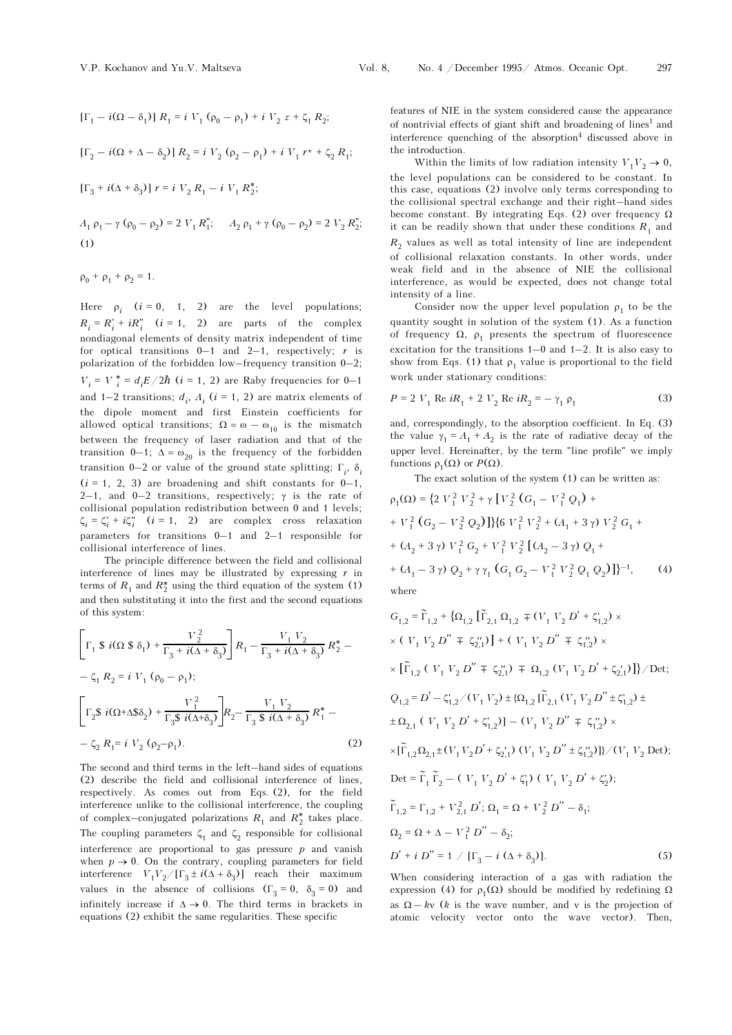$$
[\Gamma_1 - i(\Omega - \delta_1)] R_1 = i V_1 (\rho_0 - \rho_1) + i V_2 r + \zeta_1 R_2;
$$
  

$$
[\Gamma_2 - i(\Omega + \Delta - \delta_2)] R_2 = i V_2 (\rho_2 - \rho_1) + i V_1 r^* + \zeta_2 R_1;
$$
  

$$
[\Gamma_3 + i(\Delta + \delta_3)] r = i V_2 R_1 - i V_1 R_2^*;
$$

 $A_1 \rho_1 - \gamma (\rho_0 - \rho_2) = 2 V_1 R_1''$ ;  $A_2 \rho_1 + \gamma (\rho_0 - \rho_2) = 2 V_2 R_2''$ ; (1)

$$
\rho_0 + \rho_1 + \rho_2 = 1.
$$

Here  $\rho_i$  (*i* = 0, 1, 2) are the level populations;  $R_i = R_i' + iR_i''$   $(i = 1, 2)$  are parts of the complex nondiagonal elements of density matrix independent of time for optical transitions  $0-1$  and  $2-1$ , respectively; r is polarization of the forbidden low–frequency transition 0–2;  $V_i = V_i^* = d_i E / 2\hbar$  (*i* = 1, 2) are Raby frequencies for 0–1 and 1–2 transitions;  $d_i$ ,  $A_i$  ( $i = 1, 2$ ) are matrix elements of the dipole moment and first Einstein coefficients for allowed optical transitions;  $\Omega = \omega - \omega_{10}$  is the mismatch between the frequency of laser radiation and that of the transition 0–1;  $\Delta = \omega_{20}$  is the frequency of the forbidden transition 0–2 or value of the ground state splitting;  $\Gamma_i$ ,  $\delta_i$  $(i = 1, 2, 3)$  are broadening and shift constants for  $0-1$ , 2–1, and 0–2 transitions, respectively;  $γ$  is the rate of collisional population redistribution between 0 and 1 levels;  $\zeta_i = \zeta_i' + i\zeta_i''$   $(i = 1, 2)$  are complex cross relaxation parameters for transitions 0–1 and 2–1 responsible for collisional interference of lines.

The principle difference between the field and collisional interference of lines may be illustrated by expressing  $r$  in terms of  $R_1$  and  $R_2^*$  using the third equation of the system (1) and then substituting it into the first and the second equations of this system:

$$
\left[\Gamma_1 \$ i(\Omega \$ \delta_1) + \frac{V_2^2}{\Gamma_3 + i(\Delta + \delta_3)}\right] R_1 - \frac{V_1 V_2}{\Gamma_3 + i(\Delta + \delta_3)} R_2^* -
$$
  

$$
- \zeta_1 R_2 = i V_1 (\rho_0 - \rho_1);
$$
  

$$
\left[\Gamma_2 \$ i(\Omega + \Delta \$ \delta_2) + \frac{V_1^2}{\Gamma_3 \$ i(\Delta + \delta_3)}\right] R_2 - \frac{V_1 V_2}{\Gamma_3 \$ i(\Delta + \delta_3)} R_1^* -
$$
  

$$
- \zeta_2 R_1 = i V_2 (\rho_2 - \rho_1).
$$
 (2)

The second and third terms in the left–hand sides of equations (2) describe the field and collisional interference of lines, respectively. As comes out from Eqs. (2), for the field interference unlike to the collisional interference, the coupling of complex—conjugated polarizations  $R_1$  and  $R_2^\ast$  takes place. The coupling parameters  $\zeta_1$  and  $\zeta_2$  responsible for collisional interference are proportional to gas pressure  $p$  and vanish when  $p \to 0$ . On the contrary, coupling parameters for field interference  $V_1V_2/[\Gamma_3 \pm i(\Delta + \delta_3)]$  reach their maximum values in the absence of collisions  $(\Gamma_3 = 0, \delta_3 = 0)$  and infinitely increase if  $\Delta \rightarrow 0$ . The third terms in brackets in equations (2) exhibit the same regularities. These specific

features of NIE in the system considered cause the appearance of nontrivial effects of giant shift and broadening of lines<sup>1</sup> and interference quenching of the absorption $4$  discussed above in the introduction.

Within the limits of low radiation intensity  $V_1V_2 \rightarrow 0$ , the level populations can be considered to be constant. In this case, equations (2) involve only terms corresponding to the collisional spectral exchange and their right–hand sides become constant. By integrating Eqs. (2) over frequency  $\Omega$ it can be readily shown that under these conditions  $R_1$  and  $R<sub>2</sub>$  values as well as total intensity of line are independent of collisional relaxation constants. In other words, under weak field and in the absence of NIE the collisional interference, as would be expected, does not change total intensity of a line.

Consider now the upper level population  $\rho_1$  to be the quantity sought in solution of the system (1). As a function of frequency  $\Omega$ ,  $\rho_1$  presents the spectrum of fluorescence excitation for the transitions 1–0 and 1–2. It is also easy to show from Eqs. (1) that  $\rho_1$  value is proportional to the field work under stationary conditions:

$$
P = 2 V_1 \text{ Re } iR_1 + 2 V_2 \text{ Re } iR_2 = -\gamma_1 \rho_1 \tag{3}
$$

and, correspondingly, to the absorption coefficient. In Eq. (3) the value  $\gamma_1 = A_1 + A_2$  is the rate of radiative decay of the upper level. Hereinafter, by the term "line profile" we imply functions  $\rho_1(\Omega)$  or  $P(\Omega)$ .

The exact solution of the system (1) can be written as:

$$
\rho_1(\Omega) = \left\{ 2 V_1^2 V_2^2 + \gamma \left[ V_2^2 (G_1 - V_1^2 Q_1) + V_1^2 (G_2 - V_2^2 Q_2) \right] \right\} \left\{ 6 V_1^2 V_2^2 + (A_1 + 3 \gamma) V_2^2 G_1 + (A_2 + 3 \gamma) V_1^2 G_2 + V_1^2 V_2^2 \left[ (A_2 - 3 \gamma) Q_1 + (A_1 - 3 \gamma) Q_2 + \gamma \gamma_1 (G_1 G_2 - V_1^2 V_2^2 Q_1 Q_2) \right] \right\}^{-1}, \quad (4)
$$
\nwhere

$$
G_{1,2} = \tilde{\Gamma}_{1,2} + \{\Omega_{1,2} [\tilde{\Gamma}_{2,1} \Omega_{1,2} \mp (V_1 V_2 D' + \zeta_{1,2}') \times
$$
  
\n
$$
\times (V_1 V_2 D'' \mp \zeta_{2,1}' )] + (V_1 V_2 D'' \mp \zeta_{1,2}' ) \times
$$
  
\n
$$
\times [\tilde{\Gamma}_{1,2} (V_1 V_2 D'' \mp \zeta_{2,1}' ) \mp \Omega_{1,2} (V_1 V_2 D' + \zeta_{2,1}' )]\} / \text{Det};
$$
  
\n
$$
Q_{1,2} = D' - \zeta_{1,2}' / (V_1 V_2) \pm \{\Omega_{1,2} [\tilde{\Gamma}_{2,1} (V_1 V_2 D'' \pm \zeta_{1,2}') \pm
$$
  
\n
$$
\pm \Omega_{2,1} (V_1 V_2 D' + \zeta_{1,2}' )] - (V_1 V_2 D'' \mp \zeta_{1,2}' ) \times
$$
  
\n
$$
\times [\tilde{\Gamma}_{1,2} \Omega_{2,1} \pm (V_1 V_2 D' + \zeta_{2,1}' ) (V_1 V_2 D'' \pm \zeta_{1,2}' )]\} / (V_1 V_2 \text{ Det});
$$
  
\n
$$
\text{Det} = \tilde{\Gamma}_1 \tilde{\Gamma}_2 - (V_1 V_2 D' + \zeta_1') (V_1 V_2 D' + \zeta_2';
$$
  
\n
$$
\tilde{\Gamma}_{1,2} = \Gamma_{1,2} + V_{2,1}^2 D'; \Omega_1 = \Omega + V_2^2 D'' - \delta_1;
$$
  
\n
$$
\Omega_2 = \Omega + \Delta - V_1^2 D'' - \delta_2;
$$
  
\n
$$
D' + i D'' = 1 / [\Gamma_3 - i (\Delta + \delta_3)].
$$
  
\n(5)

When considering interaction of a gas with radiation the expression (4) for  $ρ_1(Ω)$  should be modified by redefining  $Ω$ as  $\Omega - kv$  (k is the wave number, and v is the projection of atomic velocity vector onto the wave vector). Then,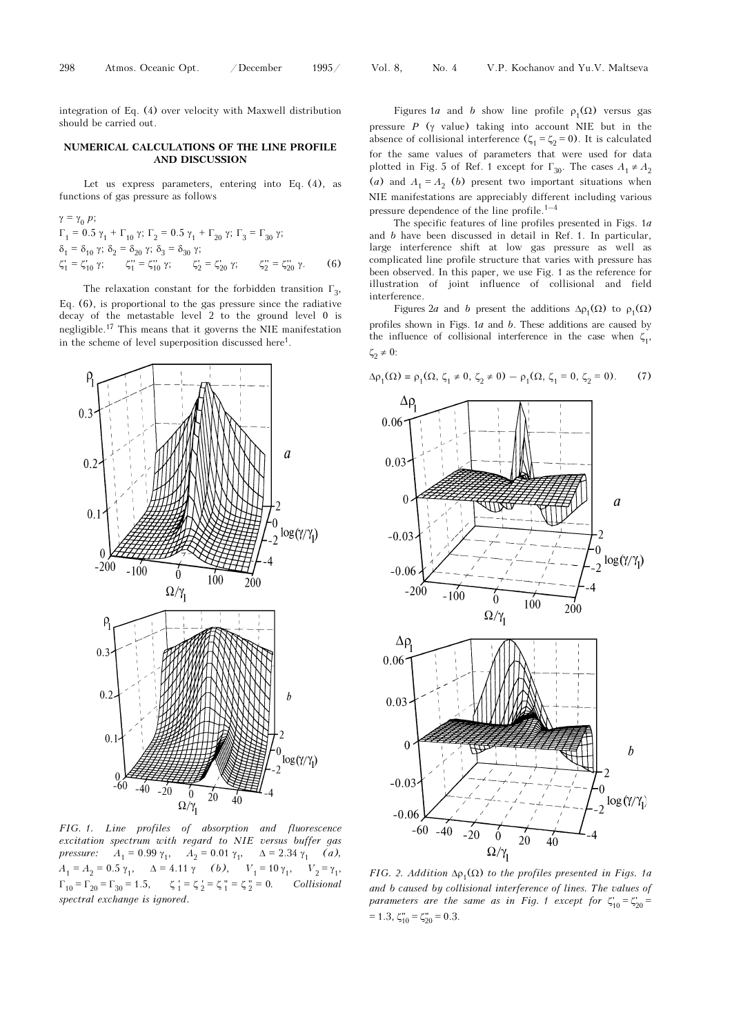integration of Eq. (4) over velocity with Maxwell distribution should be carried out.

### NUMERICAL CALCULATIONS OF THE LINE PROFILE AND DISCUSSION

Let us express parameters, entering into Eq. (4), as functions of gas pressure as follows

$$
\gamma = \gamma_0 p; \n\Gamma_1 = 0.5 \gamma_1 + \Gamma_{10} \gamma; \Gamma_2 = 0.5 \gamma_1 + \Gamma_{20} \gamma; \Gamma_3 = \Gamma_{30} \gamma; \n\delta_1 = \delta_{10} \gamma; \delta_2 = \delta_{20} \gamma; \delta_3 = \delta_{30} \gamma; \n\zeta_1' = \zeta_{10}' \gamma; \qquad \zeta_1'' = \zeta_{10}' \gamma; \qquad \zeta_2' = \zeta_{20}' \gamma; \qquad \zeta_2'' = \zeta_{20}'' \gamma.
$$
\n(6)

The relaxation constant for the forbidden transition  $\Gamma_3$ , Eq. (6), is proportional to the gas pressure since the radiative decay of the metastable level 2 to the ground level 0 is negligible.17 This means that it governs the NIE manifestation in the scheme of level superposition discussed here<sup>1</sup>.



FIG. 1. Line profiles of absorption and fluorescence excitation spectrum with regard to NIE versus buffer gas pressure:  $A_1 = 0.99 \gamma_1$ ,  $A_2 = 0.01 \gamma_1$ ,  $\Delta = 2.34 \gamma_1$  (a),  $A_1 = A_2 = 0.5 \gamma_1, \quad \Delta = 4.11 \gamma$  (b),  $V_1 = 10 \gamma_1, \quad V_2 = \gamma_1,$  $\Gamma_{10} = \Gamma_{20} = \Gamma_{30} = 1.5,$   $\zeta_1 = \zeta_2 = \zeta_1 = \zeta_2 = 0.$  Collisional spectral exchange is ignored.

Figures 1a and b show line profile  $\rho_1(\Omega)$  versus gas pressure  $P$  ( $\gamma$  value) taking into account NIE but in the absence of collisional interference  $(\zeta_1 = \zeta_2 = 0)$ . It is calculated for the same values of parameters that were used for data plotted in Fig. 5 of Ref. 1 except for  $\Gamma_{30}$ . The cases  $A_1 \neq A_2$ <br>(*a*) and  $A_1 = A_2$  (*b*) present two important situations when<br>NIE manifestations are appreciably different including various<br>pressure dependence of (a) and  $A_1 = A_2$  (b) present two important situations when NIE manifestations are appreciably different including various

The specific features of line profiles presented in Figs. 1a and b have been discussed in detail in Ref. 1. In particular, large interference shift at low gas pressure as well as complicated line profile structure that varies with pressure has been observed. In this paper, we use Fig. 1 as the reference for illustration of joint influence of collisional and field interference.

Figures 2a and b present the additions  $\Delta \rho_1(\Omega)$  to  $\rho_1(\Omega)$ profiles shown in Figs.  $1a$  and  $b$ . These additions are caused by the influence of collisional interference in the case when  $\zeta_1$ ,  $ζ_2 \neq 0$ :

 $\Delta \rho_1(\Omega) = \rho_1(\Omega, \zeta_1 \neq 0, \zeta_2 \neq 0) - \rho_1(\Omega, \zeta_1 = 0, \zeta_2 = 0).$  (7)



FIG. 2. Addition  $\Delta p_1(\Omega)$  to the profiles presented in Figs. 1a and b caused by collisional interference of lines. The values of parameters are the same as in Fig. 1 except for  $\zeta_{10} = \zeta_{20}' =$  $= 1.3, \zeta_{10}'' = \zeta_{20}'' = 0.3.$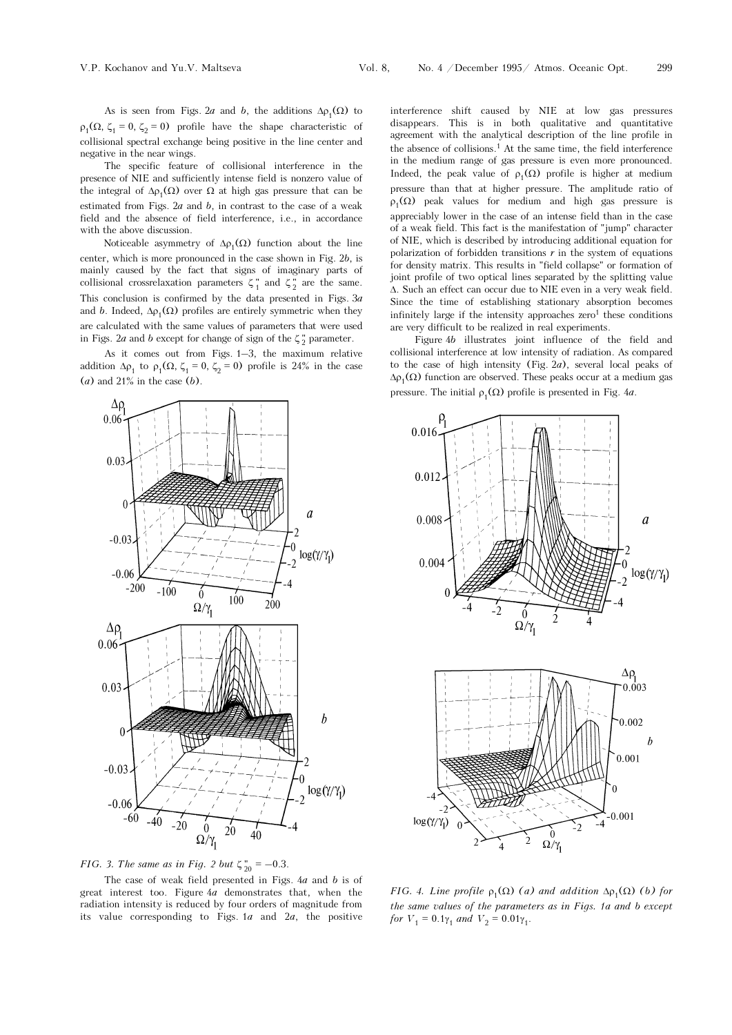As is seen from Figs. 2a and b, the additions  $\Delta \rho_1(\Omega)$  to  $\rho_1(\Omega, \zeta_1 = 0, \zeta_2 = 0)$  profile have the shape characteristic of collisional spectral exchange being positive in the line center and negative in the near wings.

The specific feature of collisional interference in the presence of NIE and sufficiently intense field is nonzero value of the integral of  $Δρ_1(Ω)$  over Ω at high gas pressure that can be estimated from Figs.  $2a$  and  $b$ , in contrast to the case of a weak field and the absence of field interference, i.e., in accordance with the above discussion.

Noticeable asymmetry of  $\Delta \rho_1(\Omega)$  function about the line center, which is more pronounced in the case shown in Fig. 2b, is mainly caused by the fact that signs of imaginary parts of collisional crossrelaxation parameters  $\zeta_1^{\text{''}}$  and  $\zeta_2^{\text{''}}$  are the same. This conclusion is confirmed by the data presented in Figs.  $3a$ and b. Indeed,  $\Delta \rho_1(\Omega)$  profiles are entirely symmetric when they are calculated with the same values of parameters that were used in Figs. 2*a* and *b* except for change of sign of the  $\zeta_2^{\prime\prime}$  parameter.

As it comes out from Figs. 1–3, the maximum relative addition  $\Delta \rho_1$  to  $\rho_1(\Omega, \zeta_1 = 0, \zeta_2 = 0)$  profile is 24% in the case  $(a)$  and 21% in the case  $(b)$ .



FIG. 3. The same as in Fig. 2 but  $\zeta_{20}^{n} = -0.3$ .

The case of weak field presented in Figs. 4a and b is of great interest too. Figure 4a demonstrates that, when the radiation intensity is reduced by four orders of magnitude from its value corresponding to Figs.  $1a$  and  $2a$ , the positive interference shift caused by NIE at low gas pressures disappears. This is in both qualitative and quantitative agreement with the analytical description of the line profile in the absence of collisions.<sup>1</sup> At the same time, the field interference in the medium range of gas pressure is even more pronounced. Indeed, the peak value of  $\rho_1(\Omega)$  profile is higher at medium pressure than that at higher pressure. The amplitude ratio of  $ρ_1(Ω)$  peak values for medium and high gas pressure is appreciably lower in the case of an intense field than in the case of a weak field. This fact is the manifestation of "jump" character of NIE, which is described by introducing additional equation for polarization of forbidden transitions  $r$  in the system of equations for density matrix. This results in "field collapse" or formation of joint profile of two optical lines separated by the splitting value Δ. Such an effect can occur due to NIE even in a very weak field. Since the time of establishing stationary absorption becomes infinitely large if the intensity approaches  $zero<sup>1</sup>$  these conditions are very difficult to be realized in real experiments.

Figure 4b illustrates joint influence of the field and collisional interference at low intensity of radiation. As compared to the case of high intensity (Fig.  $2a$ ), several local peaks of  $\Delta \rho_1(\Omega)$  function are observed. These peaks occur at a medium gas pressure. The initial  $\rho_1(\Omega)$  profile is presented in Fig. 4*a*.



FIG. 4. Line profile  $\rho_1(\Omega)$  (a) and addition  $\Delta \rho_1(\Omega)$  (b) for the same values of the parameters as in Figs. 1a and b except for  $V_1 = 0.1\gamma_1$  and  $V_2 = 0.01\gamma_1$ .